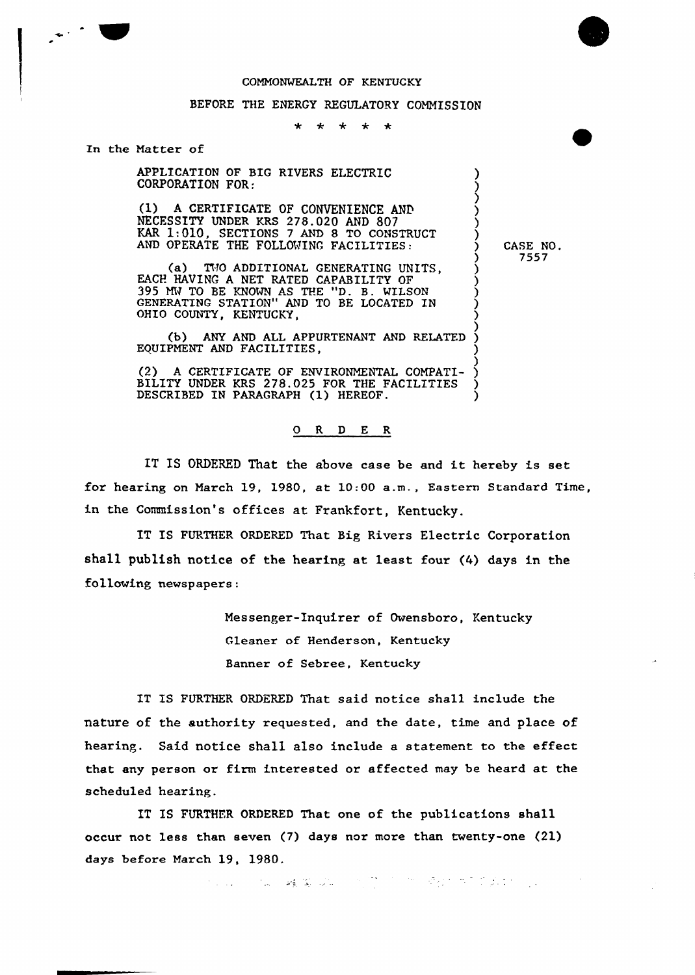## COMMONWEALTH OF KENTUCKY

# BEFORE THE ENERGY REGULATORY COMMISSION

#### \* \* \* \* \*

### In the Natter of

 $\mathcal{L}^{\text{max}}$ 

APPLICATION OF BIG RIVERS ELECTRIC CORPORATION FOR:

(1) A CERTIFICATE OF CONVENIENCE AND NECESSITY UNDER KRS 278.020 AND 807 KAR  $1:010$ , SECTIONS 7 AND 8 TO CONSTRUCT  $\left\{\right.$   $\right\}$ AND OPERATE THE FOLLOWING FACILITIES:

(a) TWO ADDITIONAL GENERATING UNITS,  $\bigcup_{i=1}^{n}$ EACH HAVING A NET RATED CAPABILITY OF )<br>395 MW TO BE KNOWN AS THE "D. B. WILSON )<br>GENERATENG GEATEON! AND BE LOCATED IN GENERATING STATION" AND TO BE LOCATED IN  $\bigcup_{n=0}^{\infty}$ OHIO COUNTY, KENTUCKY.

(b) ANY AND ALL APPURTENANT AND RELATED EQUIPNENT AND FACILITIES, )

) (2) A CERTIFICATE OF ENVIRONMENTAL COMPATI- ) BILITY UNDER KRS 278.025 FOR THE FACILITIES ) DESCRIBED IN PARAGRAPH (1) HEREOF.

## 0 R <sup>D</sup> E R

IT IS ORDERED That the above case be and it hereby is set for hearing on March 19, 1980, at  $10:00$  a.m., Eastern Standard Time, in the Commission's offices at Frankfort, Kentucky.

IT IS FURTHER ORDERED That Big Rivers Electric Corporation shall publish notice of the hearing at least four (4) days in the following newspapers:

> Messenger-Inquirer of Owensboro, Kentucky Gleaner of Henderson, Kentucky Banner of Sebree, Kentucky

IT IS FURTHER ORDERED That said notice shall include the nature of the authority requested, and the date, time and place of hearing. Said notice shall also include a statement to the effect that any person or firm interested or affected may be heard at the scheduled hearing.

IT IS FURTHER ORDERED That one of the publications shall occur not less than seven (7) days nor more than twenty-one (21) days before March 19, 1980.

ちょうしょう 義業 成長 大変 アーケー そうかき きんかいしょう

CASE NO. 7557

) ) ز<br>)

)

)